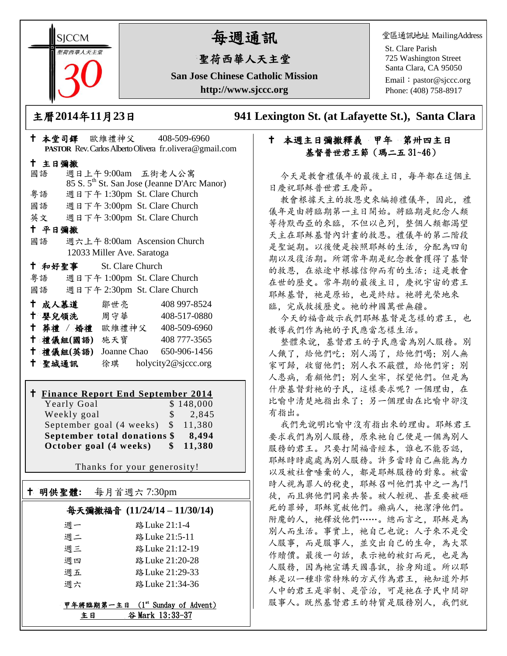**SICCM** 智荷西華人天主堂

# 每週通訊

# 聖荷西華人天主堂

**San Jose Chinese Catholic Mission http://www.sjccc.org**

堂區通訊地址 MailingAddress

St. Clare Parish 725 Washington Street Santa Clara, CA 95050

Email: [pastor@sjccc.org](mailto:pastor@sjccc.org) Phone: (408) 758-8917

主曆**2014**年**11**月**23**日 **941 Lexington St. (at Lafayette St.), Santa Clara** 

# 本週主日彌撒釋義甲年第卅四主日 基督普世君王節(瑪二五 31~46)

今天是教會禮儀年的最後主日,每年都在這個主 日慶祝耶穌普世君王慶節。

教會根據天主的救恩史來編排禮儀年,因此,禮 儀年是由將臨期第一主日開始。將臨期是紀念人類 等待默西亞的來臨,不但以色列,整個人類都渴望 天主在耶穌基督內計畫的救恩。禮儀年的第二階段 是聖誕期。以後便是按照耶穌的生活,分配為四旬 期以及復活期。所謂常年期是紀念教會獲得了基督 的救恩,在旅途中根據信仰而有的生活;這是教會 在世的歷史。常年期的最後主日,慶祝宇宙的君王 耶穌基督,祂是原始,也是終結。祂將光榮地來 臨,完成救援歷史。祂的神國萬世無疆。

今天的福音啟示我們耶穌基督是怎樣的君王,也 教導我們作為祂的子民應當怎樣生活。

整體來說,基督君王的子民應當為別人服務。別 人餓了,給他們吃;別人渴了,給他們喝;別人無 家可歸,收留他們;別人衣不蔽體,給他們穿;別 人患病,看顧他們;別人坐牢,探望他們。但是為 什麼基督對祂的子民,這樣要求呢?一個理由,在 比喻中清楚地指出來了;另一個理由在比喻中卻沒 有指出。

我們先說明比喻中沒有指出來的理由。耶穌君王 要求我們為別人服務,原來祂自己便是一個為別人 服務的君王。只要打開福音經本,誰也不能否認。 耶穌時時處處為別人服務。許多當時自己無能為力 以及被社會唾棄的人,都是耶穌服務的對象。被當 時人視為罪人的稅吏,耶穌召叫他們其中之一為門 徒,而且與他們同桌共餐。被人輕視、甚至要被砸 死的罪婦,耶穌寬赦他們。癩病人,祂潔淨他們。 附魔的人, 祂釋放他們……。總而言之, 耶穌是為 別人而生活。事實上,祂自己也說:人子來不是受 人服事,而是服事人,並交出自己的生命,為大眾 作贖價。最後一句話,表示祂的被釘而死,也是為 人服務,因為祂宣講天國喜訊,捨身殉道。所以耶 穌是以一種非常特殊的方式作為君王, 祂知道外邦 人中的君王是宰制、是管治,可是祂在子民中間卻 服事人。既然基督君王的特質是服務別人。我們就

| PASTOR Rev. Carlos Alberto Olivera fr. olivera@gmail.com |                              |                                                         |  |  |
|----------------------------------------------------------|------------------------------|---------------------------------------------------------|--|--|
| 十 主日彌撒                                                   |                              |                                                         |  |  |
| 國語                                                       | 週日上午9:00am 五街老人公寓            |                                                         |  |  |
|                                                          |                              | 85 S. 5 <sup>th</sup> St. San Jose (Jeanne D'Arc Manor) |  |  |
| 粤語                                                       | 週日下午 1:30pm St. Clare Church |                                                         |  |  |
| 國語                                                       | 週日下午 3:00pm St. Clare Church |                                                         |  |  |
| 英文 週日下午 3:00pm St. Clare Church                          |                              |                                                         |  |  |
| 十 平日彌撒                                                   |                              |                                                         |  |  |
| 國語                                                       | 週六上午 8:00am Ascension Church |                                                         |  |  |
| 12033 Miller Ave. Saratoga                               |                              |                                                         |  |  |
| <b>† 和好聖事 St. Clare Church</b>                           |                              |                                                         |  |  |
| 粤語 週日下午 1:00pm St. Clare Church                          |                              |                                                         |  |  |
| 國語 週日下午 2:30pm St. Clare Church                          |                              |                                                         |  |  |
| † 成人慕道   鄒世亮                                             |                              | 408 997-8524                                            |  |  |
| ↑ 嬰兒領洗 周守華                                               |                              | 408-517-0880                                            |  |  |
| + 葬禮 / 婚禮 歐維禮神父 408-509-6960                             |                              |                                                         |  |  |
| 十 禮儀組(國語) 施天寶                                            |                              | 408 777-3565                                            |  |  |
| 十 禮儀組(英語)                                                |                              | Joanne Chao 650-906-1456                                |  |  |

本堂司鐸 歐維禮神父 408-509-6960

# **Finance Report End September 2014**

聖城通訊 徐琪 holycity2@sjccc.org

| Yearly Goal                           |       | \$148,000 |
|---------------------------------------|-------|-----------|
| Weekly goal                           | S.    | 2,845     |
| September goal $(4 \text{ weeks})$ \$ |       | 11.380    |
| September total donations \$          | 8.494 |           |
| October goal (4 weeks)                | SS.   | 11,380    |

Thanks for your generosity!

# 明供聖體**:** 每月首週六 7:30pm

Ξ

## 每天彌撒福音 **(11/24/14 – 11/30/14)**

| 週一 | 路 Luke 21:1-4   |
|----|-----------------|
| 週二 | 路 Luke 21:5-11  |
| 週三 | 路 Luke 21:12-19 |
| 週四 | 路 Luke 21:20-28 |
| 週五 | 路 Luke 21:29-33 |
| 调六 | 路 Luke 21:34-36 |

甲年將臨期第一主日 (1st Sunday of Advent) 主日 谷 Mark 13:33-37